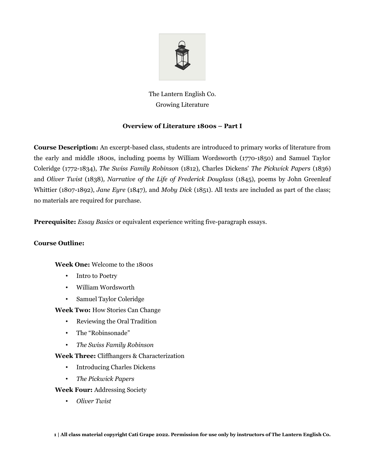

# The Lantern English Co. Growing Literature

## **Overview of Literature 1800s – Part I**

**Course Description:** An excerpt-based class, students are introduced to primary works of literature from the early and middle 1800s, including poems by William Wordsworth (1770-1850) and Samuel Taylor Coleridge (1772-1834), *The Swiss Family Robinson* (1812)*,* Charles Dickens' *The Pickwick Papers* (1836) and *Oliver Twist* (1838)*, Narrative of the Life of Frederick Douglass* (1845)*,* poems by John Greenleaf Whittier (1807-1892), *Jane Eyre* (1847)*,* and *Moby Dick* (1851)*.* All texts are included as part of the class; no materials are required for purchase.

**Prerequisite:** *Essay Basics* or equivalent experience writing five-paragraph essays.

### **Course Outline:**

**Week One:** Welcome to the 1800s

- Intro to Poetry
- William Wordsworth
- Samuel Taylor Coleridge

**Week Two:** How Stories Can Change

- Reviewing the Oral Tradition
- The "Robinsonade"
- *The Swiss Family Robinson*
- **Week Three:** Cliffhangers & Characterization
	- Introducing Charles Dickens
	- *The Pickwick Papers*

**Week Four:** Addressing Society

• *Oliver Twist*